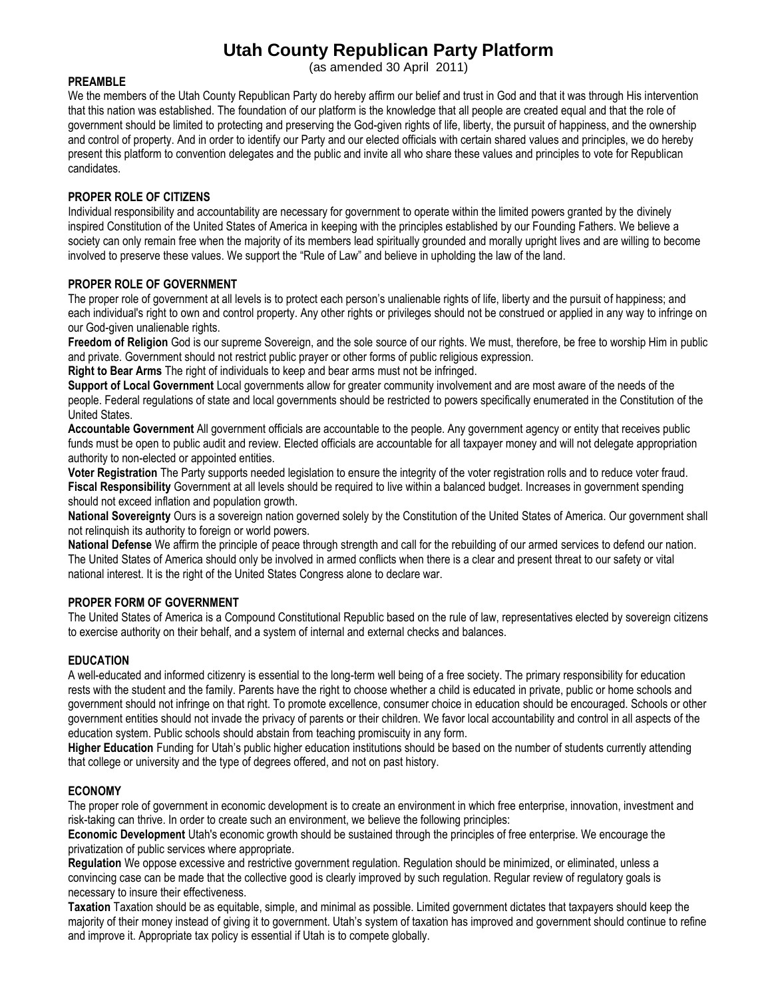# **Utah County Republican Party Platform**

(as amended 30 April 2011)

#### **PREAMBLE**

We the members of the Utah County Republican Party do hereby affirm our belief and trust in God and that it was through His intervention that this nation was established. The foundation of our platform is the knowledge that all people are created equal and that the role of government should be limited to protecting and preserving the God-given rights of life, liberty, the pursuit of happiness, and the ownership and control of property. And in order to identify our Party and our elected officials with certain shared values and principles, we do hereby present this platform to convention delegates and the public and invite all who share these values and principles to vote for Republican candidates.

# **PROPER ROLE OF CITIZENS**

Individual responsibility and accountability are necessary for government to operate within the limited powers granted by the divinely inspired Constitution of the United States of America in keeping with the principles established by our Founding Fathers. We believe a society can only remain free when the majority of its members lead spiritually grounded and morally upright lives and are willing to become involved to preserve these values. We support the "Rule of Law" and believe in upholding the law of the land.

# **PROPER ROLE OF GOVERNMENT**

The proper role of government at all levels is to protect each person's unalienable rights of life, liberty and the pursuit of happiness; and each individual's right to own and control property. Any other rights or privileges should not be construed or applied in any way to infringe on our God-given unalienable rights.

**Freedom of Religion** God is our supreme Sovereign, and the sole source of our rights. We must, therefore, be free to worship Him in public and private. Government should not restrict public prayer or other forms of public religious expression.

**Right to Bear Arms** The right of individuals to keep and bear arms must not be infringed.

**Support of Local Government** Local governments allow for greater community involvement and are most aware of the needs of the people. Federal regulations of state and local governments should be restricted to powers specifically enumerated in the Constitution of the United States.

**Accountable Government** All government officials are accountable to the people. Any government agency or entity that receives public funds must be open to public audit and review. Elected officials are accountable for all taxpayer money and will not delegate appropriation authority to non-elected or appointed entities.

**Voter Registration** The Party supports needed legislation to ensure the integrity of the voter registration rolls and to reduce voter fraud. **Fiscal Responsibility** Government at all levels should be required to live within a balanced budget. Increases in government spending should not exceed inflation and population growth.

**National Sovereignty** Ours is a sovereign nation governed solely by the Constitution of the United States of America. Our government shall not relinquish its authority to foreign or world powers.

**National Defense** We affirm the principle of peace through strength and call for the rebuilding of our armed services to defend our nation. The United States of America should only be involved in armed conflicts when there is a clear and present threat to our safety or vital national interest. It is the right of the United States Congress alone to declare war.

## **PROPER FORM OF GOVERNMENT**

The United States of America is a Compound Constitutional Republic based on the rule of law, representatives elected by sovereign citizens to exercise authority on their behalf, and a system of internal and external checks and balances.

## **EDUCATION**

A well-educated and informed citizenry is essential to the long-term well being of a free society. The primary responsibility for education rests with the student and the family. Parents have the right to choose whether a child is educated in private, public or home schools and government should not infringe on that right. To promote excellence, consumer choice in education should be encouraged. Schools or other government entities should not invade the privacy of parents or their children. We favor local accountability and control in all aspects of the education system. Public schools should abstain from teaching promiscuity in any form.

**Higher Education** Funding for Utah's public higher education institutions should be based on the number of students currently attending that college or university and the type of degrees offered, and not on past history.

## **ECONOMY**

The proper role of government in economic development is to create an environment in which free enterprise, innovation, investment and risk-taking can thrive. In order to create such an environment, we believe the following principles:

**Economic Development** Utah's economic growth should be sustained through the principles of free enterprise. We encourage the privatization of public services where appropriate.

**Regulation** We oppose excessive and restrictive government regulation. Regulation should be minimized, or eliminated, unless a convincing case can be made that the collective good is clearly improved by such regulation. Regular review of regulatory goals is necessary to insure their effectiveness.

**Taxation** Taxation should be as equitable, simple, and minimal as possible. Limited government dictates that taxpayers should keep the majority of their money instead of giving it to government. Utah's system of taxation has improved and government should continue to refine and improve it. Appropriate tax policy is essential if Utah is to compete globally.